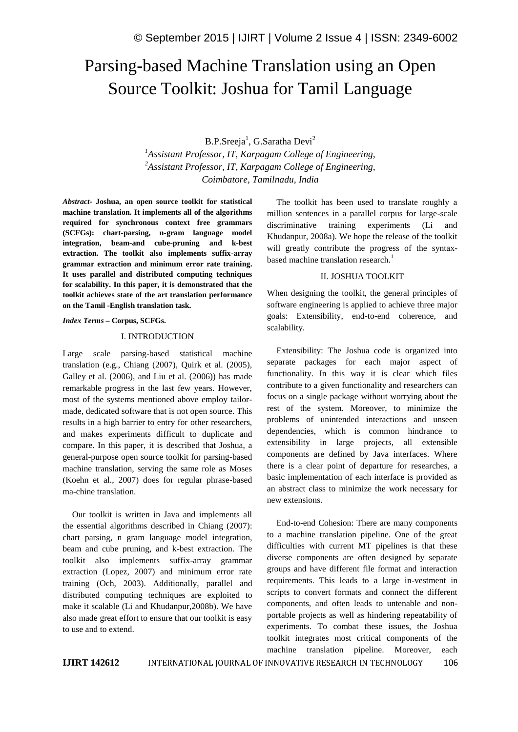# Parsing-based Machine Translation using an Open Source Toolkit: Joshua for Tamil Language

B.P.Sreeja<sup>1</sup>, G.Saratha Devi<sup>2</sup>

*<sup>1</sup>Assistant Professor, IT, Karpagam College of Engineering, <sup>2</sup>Assistant Professor, IT, Karpagam College of Engineering, Coimbatore, Tamilnadu, India*

*Abstract***- Joshua, an open source toolkit for statistical machine translation. It implements all of the algorithms required for synchronous context free grammars (SCFGs): chart-parsing, n-gram language model integration, beam-and cube-pruning and k-best extraction. The toolkit also implements suffix-array grammar extraction and minimum error rate training. It uses parallel and distributed computing techniques for scalability. In this paper, it is demonstrated that the toolkit achieves state of the art translation performance on the Tamil -English translation task.**

*Index Terms* **– Corpus, SCFGs.**

#### I. INTRODUCTION

Large scale parsing-based statistical machine translation (e.g., Chiang (2007), Quirk et al. (2005), Galley et al. (2006), and Liu et al. (2006)) has made remarkable progress in the last few years. However, most of the systems mentioned above employ tailormade, dedicated software that is not open source. This results in a high barrier to entry for other researchers, and makes experiments difficult to duplicate and compare. In this paper, it is described that Joshua, a general-purpose open source toolkit for parsing-based machine translation, serving the same role as Moses (Koehn et al., 2007) does for regular phrase-based ma-chine translation.

Our toolkit is written in Java and implements all the essential algorithms described in Chiang (2007): chart parsing, n gram language model integration, beam and cube pruning, and k-best extraction. The toolkit also implements suffix-array grammar extraction (Lopez, 2007) and minimum error rate training (Och, 2003). Additionally, parallel and distributed computing techniques are exploited to make it scalable (Li and Khudanpur,2008b). We have also made great effort to ensure that our toolkit is easy to use and to extend.

The toolkit has been used to translate roughly a million sentences in a parallel corpus for large-scale discriminative training experiments (Li and Khudanpur, 2008a). We hope the release of the toolkit will greatly contribute the progress of the syntaxbased machine translation research.<sup>1</sup>

#### II. JOSHUA TOOLKIT

When designing the toolkit, the general principles of software engineering is applied to achieve three major goals: Extensibility, end-to-end coherence, and scalability.

Extensibility: The Joshua code is organized into separate packages for each major aspect of functionality. In this way it is clear which files contribute to a given functionality and researchers can focus on a single package without worrying about the rest of the system. Moreover, to minimize the problems of unintended interactions and unseen dependencies, which is common hindrance to extensibility in large projects, all extensible components are defined by Java interfaces. Where there is a clear point of departure for researches, a basic implementation of each interface is provided as an abstract class to minimize the work necessary for new extensions.

End-to-end Cohesion: There are many components to a machine translation pipeline. One of the great difficulties with current MT pipelines is that these diverse components are often designed by separate groups and have different file format and interaction requirements. This leads to a large in-vestment in scripts to convert formats and connect the different components, and often leads to untenable and nonportable projects as well as hindering repeatability of experiments. To combat these issues, the Joshua toolkit integrates most critical components of the machine translation pipeline. Moreover, each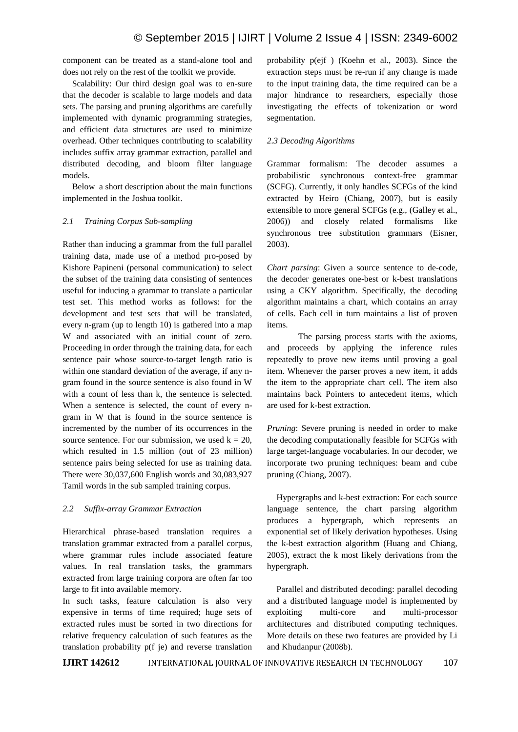component can be treated as a stand-alone tool and does not rely on the rest of the toolkit we provide.

Scalability: Our third design goal was to en-sure that the decoder is scalable to large models and data sets. The parsing and pruning algorithms are carefully implemented with dynamic programming strategies, and efficient data structures are used to minimize overhead. Other techniques contributing to scalability includes suffix array grammar extraction, parallel and distributed decoding, and bloom filter language models.

Below a short description about the main functions implemented in the Joshua toolkit.

#### *2.1 Training Corpus Sub-sampling*

Rather than inducing a grammar from the full parallel training data, made use of a method pro-posed by Kishore Papineni (personal communication) to select the subset of the training data consisting of sentences useful for inducing a grammar to translate a particular test set. This method works as follows: for the development and test sets that will be translated, every n-gram (up to length 10) is gathered into a map W and associated with an initial count of zero. Proceeding in order through the training data, for each sentence pair whose source-to-target length ratio is within one standard deviation of the average, if any ngram found in the source sentence is also found in W with a count of less than k, the sentence is selected. When a sentence is selected, the count of every ngram in W that is found in the source sentence is incremented by the number of its occurrences in the source sentence. For our submission, we used  $k = 20$ , which resulted in 1.5 million (out of 23 million) sentence pairs being selected for use as training data. There were 30,037,600 English words and 30,083,927 Tamil words in the sub sampled training corpus.

#### *2.2 Suffix-array Grammar Extraction*

Hierarchical phrase-based translation requires a translation grammar extracted from a parallel corpus, where grammar rules include associated feature values. In real translation tasks, the grammars extracted from large training corpora are often far too large to fit into available memory.

In such tasks, feature calculation is also very expensive in terms of time required; huge sets of extracted rules must be sorted in two directions for relative frequency calculation of such features as the translation probability p(f je) and reverse translation

probability p(ejf ) (Koehn et al., 2003). Since the extraction steps must be re-run if any change is made to the input training data, the time required can be a major hindrance to researchers, especially those investigating the effects of tokenization or word segmentation.

#### *2.3 Decoding Algorithms*

Grammar formalism: The decoder assumes a probabilistic synchronous context-free grammar (SCFG). Currently, it only handles SCFGs of the kind extracted by Heiro (Chiang, 2007), but is easily extensible to more general SCFGs (e.g., (Galley et al., 2006)) and closely related formalisms like synchronous tree substitution grammars (Eisner, 2003).

*Chart parsing*: Given a source sentence to de-code, the decoder generates one-best or k-best translations using a CKY algorithm. Specifically, the decoding algorithm maintains a chart, which contains an array of cells. Each cell in turn maintains a list of proven items.

The parsing process starts with the axioms, and proceeds by applying the inference rules repeatedly to prove new items until proving a goal item. Whenever the parser proves a new item, it adds the item to the appropriate chart cell. The item also maintains back Pointers to antecedent items, which are used for k-best extraction.

*Pruning*: Severe pruning is needed in order to make the decoding computationally feasible for SCFGs with large target-language vocabularies. In our decoder, we incorporate two pruning techniques: beam and cube pruning (Chiang, 2007).

Hypergraphs and k-best extraction: For each source language sentence, the chart parsing algorithm produces a hypergraph, which represents an exponential set of likely derivation hypotheses. Using the k-best extraction algorithm (Huang and Chiang, 2005), extract the k most likely derivations from the hypergraph.

Parallel and distributed decoding: parallel decoding and a distributed language model is implemented by exploiting multi-core and multi-processor architectures and distributed computing techniques. More details on these two features are provided by Li and Khudanpur (2008b).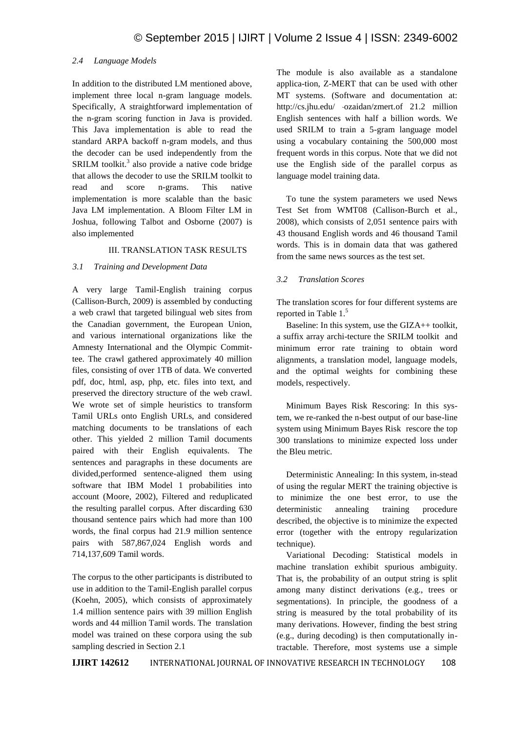# *2.4 Language Models*

In addition to the distributed LM mentioned above, implement three local n-gram language models. Specifically, A straightforward implementation of the n-gram scoring function in Java is provided. This Java implementation is able to read the standard ARPA backoff n-gram models, and thus the decoder can be used independently from the SRILM toolkit.<sup>3</sup> also provide a native code bridge that allows the decoder to use the SRILM toolkit to read and score n-grams. This native implementation is more scalable than the basic Java LM implementation. A Bloom Filter LM in Joshua, following Talbot and Osborne (2007) is also implemented

## III. TRANSLATION TASK RESULTS

# *3.1 Training and Development Data*

A very large Tamil-English training corpus (Callison-Burch, 2009) is assembled by conducting a web crawl that targeted bilingual web sites from the Canadian government, the European Union, and various international organizations like the Amnesty International and the Olympic Committee. The crawl gathered approximately 40 million files, consisting of over 1TB of data. We converted pdf, doc, html, asp, php, etc. files into text, and preserved the directory structure of the web crawl. We wrote set of simple heuristics to transform Tamil URLs onto English URLs, and considered matching documents to be translations of each other. This yielded 2 million Tamil documents paired with their English equivalents. The sentences and paragraphs in these documents are divided,performed sentence-aligned them using software that IBM Model 1 probabilities into account (Moore, 2002), Filtered and reduplicated the resulting parallel corpus. After discarding 630 thousand sentence pairs which had more than 100 words, the final corpus had 21.9 million sentence pairs with 587,867,024 English words and 714,137,609 Tamil words.

The corpus to the other participants is distributed to use in addition to the Tamil-English parallel corpus (Koehn, 2005), which consists of approximately 1.4 million sentence pairs with 39 million English words and 44 million Tamil words. The translation model was trained on these corpora using the sub sampling descried in Section 2.1

The module is also available as a standalone applica-tion, Z-MERT that can be used with other MT systems. (Software and documentation at: http://cs.jhu.edu/ ~ozaidan/zmert.of 21.2 million English sentences with half a billion words. We used SRILM to train a 5-gram language model using a vocabulary containing the 500,000 most frequent words in this corpus. Note that we did not use the English side of the parallel corpus as language model training data.

To tune the system parameters we used News Test Set from WMT08 (Callison-Burch et al., 2008), which consists of 2,051 sentence pairs with 43 thousand English words and 46 thousand Tamil words. This is in domain data that was gathered from the same news sources as the test set.

# *3.2 Translation Scores*

The translation scores for four different systems are reported in Table 1.<sup>5</sup>

Baseline: In this system, use the GIZA++ toolkit, a suffix array archi-tecture the SRILM toolkit and minimum error rate training to obtain word alignments, a translation model, language models, and the optimal weights for combining these models, respectively.

Minimum Bayes Risk Rescoring: In this system, we re-ranked the n-best output of our base-line system using Minimum Bayes Risk rescore the top 300 translations to minimize expected loss under the Bleu metric.

Deterministic Annealing: In this system, in-stead of using the regular MERT the training objective is to minimize the one best error, to use the deterministic annealing training procedure described, the objective is to minimize the expected error (together with the entropy regularization technique).

Variational Decoding: Statistical models in machine translation exhibit spurious ambiguity. That is, the probability of an output string is split among many distinct derivations (e.g., trees or segmentations). In principle, the goodness of a string is measured by the total probability of its many derivations. However, finding the best string (e.g., during decoding) is then computationally intractable. Therefore, most systems use a simple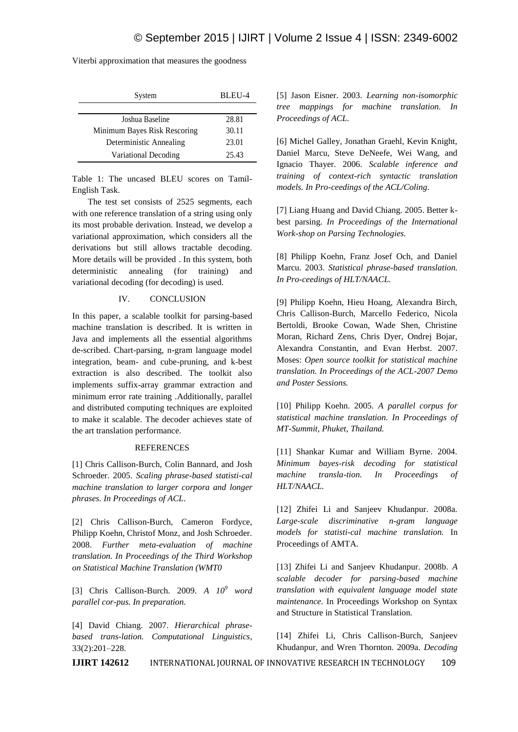| System                       | BLEU-4 |
|------------------------------|--------|
|                              |        |
| Joshua Baseline              | 28.81  |
| Minimum Bayes Risk Rescoring | 30.11  |
| Deterministic Annealing      | 23.01  |
| Variational Decoding         | 25.43  |

Viterbi approximation that measures the goodness

Table 1: The uncased BLEU scores on Tamil-English Task.

The test set consists of 2525 segments, each with one reference translation of a string using only its most probable derivation. Instead, we develop a variational approximation, which considers all the derivations but still allows tractable decoding. More details will be provided . In this system, both deterministic annealing (for training) and variational decoding (for decoding) is used.

# IV. CONCLUSION

In this paper, a scalable toolkit for parsing-based machine translation is described. It is written in Java and implements all the essential algorithms de-scribed. Chart-parsing, n-gram language model integration, beam- and cube-pruning, and k-best extraction is also described. The toolkit also implements suffix-array grammar extraction and minimum error rate training .Additionally, parallel and distributed computing techniques are exploited to make it scalable. The decoder achieves state of the art translation performance.

## **REFERENCES**

[1] Chris Callison-Burch, Colin Bannard, and Josh Schroeder. 2005. *Scaling phrase-based statisti-cal machine translation to larger corpora and longer phrases. In Proceedings of ACL*.

[2] Chris Callison-Burch, Cameron Fordyce, Philipp Koehn, Christof Monz, and Josh Schroeder. 2008. *Further meta-evaluation of machine translation. In Proceedings of the Third Workshop on Statistical Machine Translation (WMT0*

[3] Chris Callison-Burch. 2009. *A 10<sup>9</sup> word parallel cor-pus. In preparation.*

[4] David Chiang. 2007. *Hierarchical phrasebased trans-lation. Computational Linguistics*, 33(2):201–228.

[5] Jason Eisner. 2003. *Learning non-isomorphic tree mappings for machine translation. In Proceedings of ACL.*

[6] Michel Galley, Jonathan Graehl, Kevin Knight, Daniel Marcu, Steve DeNeefe, Wei Wang, and Ignacio Thayer. 2006. *Scalable inference and training of context-rich syntactic translation models. In Pro-ceedings of the ACL/Coling*.

[7] Liang Huang and David Chiang. 2005. Better kbest parsing. *In Proceedings of the International Work-shop on Parsing Technologies.*

[8] Philipp Koehn, Franz Josef Och, and Daniel Marcu. 2003. *Statistical phrase-based translation. In Pro-ceedings of HLT/NAACL.*

[9] Philipp Koehn, Hieu Hoang, Alexandra Birch, Chris Callison-Burch, Marcello Federico, Nicola Bertoldi, Brooke Cowan, Wade Shen, Christine Moran, Richard Zens, Chris Dyer, Ondrej Bojar, Alexandra Constantin, and Evan Herbst. 2007. Moses: *Open source toolkit for statistical machine translation. In Proceedings of the ACL-2007 Demo and Poster Sessions.*

[10] Philipp Koehn. 2005. *A parallel corpus for statistical machine translation. In Proceedings of MT-Summit, Phuket, Thailand.*

[11] Shankar Kumar and William Byrne. 2004. *Minimum bayes-risk decoding for statistical machine transla-tion. In Proceedings of HLT/NAACL.*

[12] Zhifei Li and Sanjeev Khudanpur. 2008a. *Large-scale discriminative n-gram language models for statisti-cal machine translation.* In Proceedings of AMTA.

[13] Zhifei Li and Sanjeev Khudanpur. 2008b. *A scalable decoder for parsing-based machine translation with equivalent language model state maintenance.* In Proceedings Workshop on Syntax and Structure in Statistical Translation.

[14] Zhifei Li, Chris Callison-Burch, Sanjeev Khudanpur, and Wren Thornton. 2009a. *Decoding*